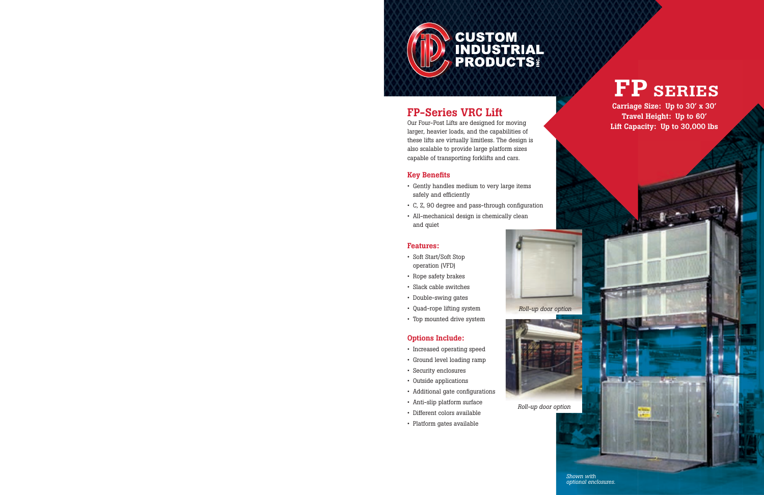

#### FP-Series VRC Lift

Our Four-Post Lifts are designed for moving larger, heavier loads, and the capabilities of these lifts are virtually limitless. The design is also scalable to provide large platform sizes capable of transporting forklifts and cars.

#### Key Benefits

- Gently handles medium to very large items safely and efficiently
- C, Z, 90 degree and pass-through configuration
- All-mechanical design is chemically clean and quiet

#### Features:

- Soft Start/Soft Stop operation (VFD)
- Rope safety brakes
- Slack cable switches
- Double-swing gates
- Quad-rope lifting system
- Top mounted drive system

#### Options Include:

- Increased operating speed
- Ground level loading ramp
- Security enclosures
- Outside applications
- Additional gate configurations
- Anti-slip platform surface
- Different colors available
- Platform gates available

# FP SERIES

Carriage Size: Up to 30' x 30' Travel Height: Up to 60' Lift Capacity: Up to 30,000 lbs

*Roll-up door option*



*Roll-up door option*

*Shown with optional enclosures.*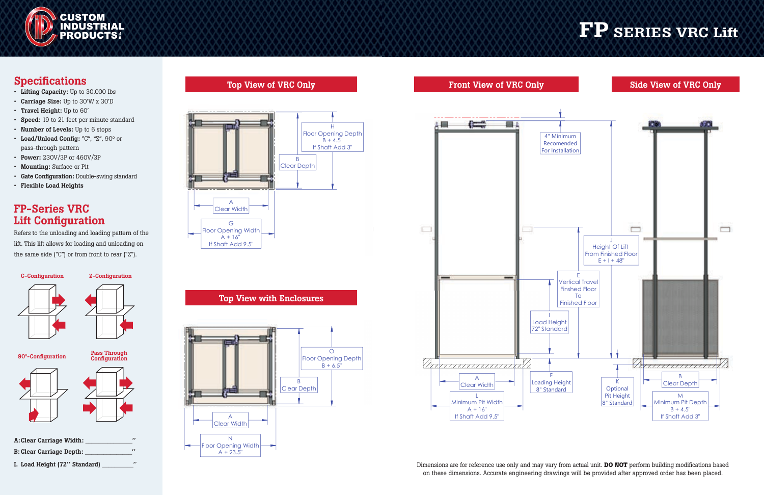

#### Specifications

- Lifting Capacity: Up to 30,000 lbs
- Carriage Size: Up to 30'W x 30'D
- Travel Height: Up to 60'
- Speed: 19 to 21 feet per minute standard
- Number of Levels: Up to 6 stops
- Load/Unload Config: "C", "Z", 90° or pass-through pattern
- Power: 230V/3P or 460V/3P
- Mounting: Surface or Pit
- Gate Configuration: Double-swing standard
- Flexible Load Heights

Refers to the unloading and loading pattern of the lift. This lift allows for loading and unloading on the same side ("C") or from front to rear ("Z").

# A: Clear Carriage Width: C-Configuration Z-Configuration Pass Through<br>Configuration 90<sup>0</sup>-Configuration

#### FP-Series VRC Lift Configuration



### Top *View* of *Vinc*

### FP SERIES VRC Lift

#### Top View with Enclosures Top View





#### Front View of VRC Only Front View of VRC Only



Dimensions are for reference use only and may vary from actual unit. **DO NOT** perform building modifications based on these dimensions. Accurate engineering drawings will be provided after approved order has been placed.

With Enclosures